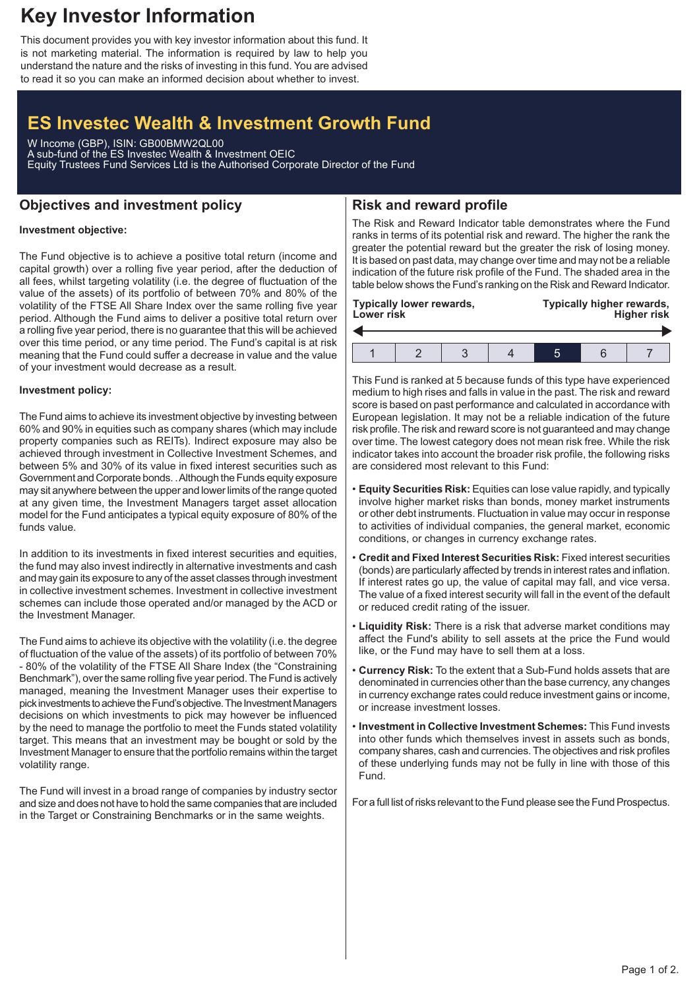## **Key Investor Information**

This document provides you with key investor information about this fund. It is not marketing material. The information is required by law to help you understand the nature and the risks of investing in this fund. You are advised to read it so you can make an informed decision about whether to invest.

# **ES Investec Wealth & Investment Growth Fund**

W Income (GBP), ISIN: GB00BMW2QL00 A sub-fund of the ES Investec Wealth & Investment OEIC Equity Trustees Fund Services Ltd is the Authorised Corporate Director of the Fund

### **Objectives and investment policy**

## **Risk and reward profile**

### **Investment objective:**

The Fund objective is to achieve a positive total return (income and capital growth) over a rolling five year period, after the deduction of all fees, whilst targeting volatility (i.e. the degree of fluctuation of the value of the assets) of its portfolio of between 70% and 80% of the volatility of the FTSE All Share Index over the same rolling five year period. Although the Fund aims to deliver a positive total return over a rolling five year period, there is no guarantee that this will be achieved over this time period, or any time period. The Fund's capital is at risk meaning that the Fund could suffer a decrease in value and the value of your investment would decrease as a result.

#### **Investment policy:**

The Fund aims to achieve its investment objective by investing between 60% and 90% in equities such as company shares (which may include property companies such as REITs). Indirect exposure may also be achieved through investment in Collective Investment Schemes, and between 5% and 30% of its value in fixed interest securities such as Government and Corporate bonds. .Although the Funds equity exposure may sit anywhere between the upper and lower limits of the range quoted at any given time, the Investment Managers target asset allocation model for the Fund anticipates a typical equity exposure of 80% of the funds value.

In addition to its investments in fixed interest securities and equities, the fund may also invest indirectly in alternative investments and cash and may gain its exposure to any of the asset classes through investment in collective investment schemes. Investment in collective investment schemes can include those operated and/or managed by the ACD or the Investment Manager.

The Fund aims to achieve its objective with the volatility (i.e. the degree of fluctuation of the value of the assets) of its portfolio of between 70% - 80% of the volatility of the FTSE All Share Index (the "Constraining Benchmark"), over the same rolling five year period. The Fund is actively managed, meaning the Investment Manager uses their expertise to pick investments to achieve the Fund's objective. The Investment Managers decisions on which investments to pick may however be influenced by the need to manage the portfolio to meet the Funds stated volatility target. This means that an investment may be bought or sold by the Investment Manager to ensure that the portfolio remains within the target volatility range.

The Fund will invest in a broad range of companies by industry sector and size and does not have to hold the same companies that are included in the Target or Constraining Benchmarks or in the same weights.

The Risk and Reward Indicator table demonstrates where the Fund ranks in terms of its potential risk and reward. The higher the rank the greater the potential reward but the greater the risk of losing money. It is based on past data, may change over time and may not be a reliable indication of the future risk profile of the Fund. The shaded area in the table below shows the Fund's ranking on the Risk and Reward Indicator.

| <b>Typically lower rewards,</b><br>Lower risk |  |  |  | Typically higher rewards,<br><b>Higher risk</b> |  |  |
|-----------------------------------------------|--|--|--|-------------------------------------------------|--|--|
|                                               |  |  |  |                                                 |  |  |
|                                               |  |  |  |                                                 |  |  |

This Fund is ranked at 5 because funds of this type have experienced medium to high rises and falls in value in the past. The risk and reward score is based on past performance and calculated in accordance with European legislation. It may not be a reliable indication of the future risk profile. The risk and reward score is not guaranteed and may change over time. The lowest category does not mean risk free. While the risk indicator takes into account the broader risk profile, the following risks are considered most relevant to this Fund:

- **Equity Securities Risk:** Equities can lose value rapidly, and typically involve higher market risks than bonds, money market instruments or other debt instruments. Fluctuation in value may occur in response to activities of individual companies, the general market, economic conditions, or changes in currency exchange rates.
- **Credit and Fixed Interest Securities Risk:** Fixed interest securities (bonds) are particularly affected by trends in interest rates and inflation. If interest rates go up, the value of capital may fall, and vice versa. The value of a fixed interest security will fall in the event of the default or reduced credit rating of the issuer.
- **Liquidity Risk:** There is a risk that adverse market conditions may affect the Fund's ability to sell assets at the price the Fund would like, or the Fund may have to sell them at a loss.
- **Currency Risk:** To the extent that a Sub-Fund holds assets that are denominated in currencies other than the base currency, any changes in currency exchange rates could reduce investment gains or income, or increase investment losses.
- **Investment in Collective Investment Schemes:** This Fund invests into other funds which themselves invest in assets such as bonds, company shares, cash and currencies. The objectives and risk profiles of these underlying funds may not be fully in line with those of this Fund.

For a full list of risks relevant to the Fund please see the Fund Prospectus.